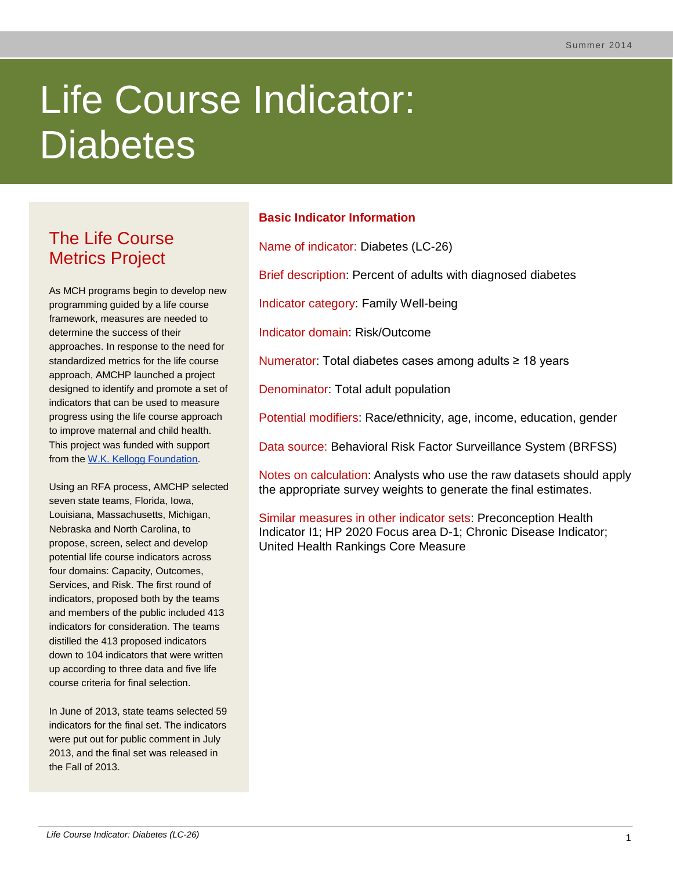# Life Course Indicator: **Diabetes**

# The Life Course Metrics Project

As MCH programs begin to develop new programming guided by a life course framework, measures are needed to determine the success of their approaches. In response to the need for standardized metrics for the life course approach, AMCHP launched a project designed to identify and promote a set of indicators that can be used to measure progress using the life course approach to improve maternal and child health. This project was funded with support from the [W.K. Kellogg Foundation.](http://www.wkkf.org/)

Using an RFA process, AMCHP selected seven state teams, Florida, Iowa, Louisiana, Massachusetts, Michigan, Nebraska and North Carolina, to propose, screen, select and develop potential life course indicators across four domains: Capacity, Outcomes, Services, and Risk. The first round of indicators, proposed both by the teams and members of the public included 413 indicators for consideration. The teams distilled the 413 proposed indicators down to 104 indicators that were written up according to three data and five life course criteria for final selection.

In June of 2013, state teams selected 59 indicators for the final set. The indicators were put out for public comment in July 2013, and the final set was released in the Fall of 2013.

# **Basic Indicator Information**

Name of indicator: Diabetes (LC-26)

Brief description: Percent of adults with diagnosed diabetes

Indicator category: Family Well-being

Indicator domain: Risk/Outcome

Numerator: Total diabetes cases among adults ≥ 18 years

Denominator: Total adult population

Potential modifiers: Race/ethnicity, age, income, education, gender

Data source: Behavioral Risk Factor Surveillance System (BRFSS)

Notes on calculation: Analysts who use the raw datasets should apply the appropriate survey weights to generate the final estimates.

Similar measures in other indicator sets: Preconception Health Indicator I1; HP 2020 Focus area D-1; Chronic Disease Indicator; United Health Rankings Core Measure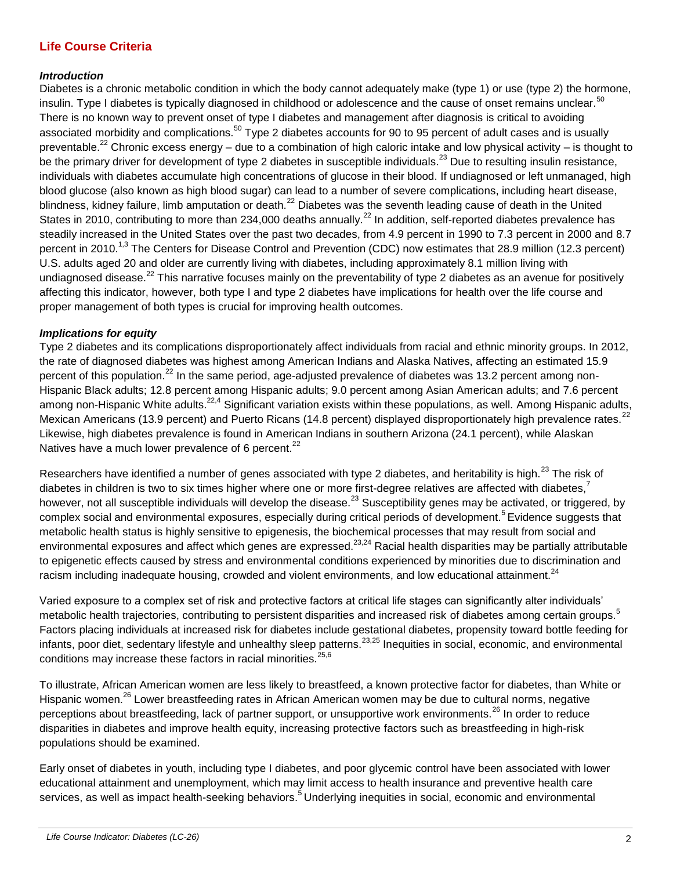## **Life Course Criteria**

#### *Introduction*

Diabetes is a chronic metabolic condition in which the body cannot adequately make (type 1) or use (type 2) the hormone, insulin. Type I diabetes is typically diagnosed in childhood or adolescence and the cause of onset remains unclear.<sup>50</sup> There is no known way to prevent onset of type I diabetes and management after diagnosis is critical to avoiding associated morbidity and complications.<sup>50</sup> Type 2 diabetes accounts for 90 to 95 percent of adult cases and is usually preventable.<sup>22</sup> Chronic excess energy – due to a combination of high caloric intake and low physical activity – is thought to be the primary driver for development of type 2 diabetes in susceptible individuals.<sup>23</sup> Due to resulting insulin resistance, individuals with diabetes accumulate high concentrations of glucose in their blood. If undiagnosed or left unmanaged, high blood glucose (also known as high blood sugar) can lead to a number of severe complications, including heart disease, blindness, kidney failure, limb amputation or death.<sup>22</sup> Diabetes was the seventh leading cause of death in the United States in 2010, contributing to more than 234,000 deaths annually.<sup>22</sup> In addition, self-reported diabetes prevalence has steadily increased in the United States over the past two decades, from 4.9 percent in 1990 to 7.3 percent in 2000 and 8.7 percent in 2010.<sup>1,3</sup> The Centers for Disease Control and Prevention (CDC) now estimates that 28.9 million (12.3 percent) U.S. adults aged 20 and older are currently living with diabetes, including approximately 8.1 million living with undiagnosed disease.<sup>22</sup> This narrative focuses mainly on the preventability of type 2 diabetes as an avenue for positively affecting this indicator, however, both type I and type 2 diabetes have implications for health over the life course and proper management of both types is crucial for improving health outcomes.

#### *Implications for equity*

Type 2 diabetes and its complications disproportionately affect individuals from racial and ethnic minority groups. In 2012, the rate of diagnosed diabetes was highest among American Indians and Alaska Natives, affecting an estimated 15.9 percent of this population.<sup>22</sup> In the same period, age-adjusted prevalence of diabetes was 13.2 percent among non-Hispanic Black adults; 12.8 percent among Hispanic adults; 9.0 percent among Asian American adults; and 7.6 percent among non-Hispanic White adults.<sup>22,4</sup> Significant variation exists within these populations, as well. Among Hispanic adults, Mexican Americans (13.9 percent) and Puerto Ricans (14.8 percent) displayed disproportionately high prevalence rates.<sup>22</sup> Likewise, high diabetes prevalence is found in American Indians in southern Arizona (24.1 percent), while Alaskan Natives have a much lower prevalence of 6 percent.<sup>22</sup>

Researchers have identified a number of genes associated with type 2 diabetes, and heritability is high.<sup>23</sup> The risk of diabetes in children is two to six times higher where one or more first-degree relatives are affected with diabetes,<sup>7</sup> however, not all susceptible individuals will develop the disease.<sup>23</sup> Susceptibility genes may be activated, or triggered, by complex social and environmental exposures, especially during critical periods of development.<sup>5</sup>Evidence suggests that metabolic health status is highly sensitive to epigenesis, the biochemical processes that may result from social and environmental exposures and affect which genes are expressed.<sup>23,24</sup> Racial health disparities may be partially attributable to epigenetic effects caused by stress and environmental conditions experienced by minorities due to discrimination and racism including inadequate housing, crowded and violent environments, and low educational attainment.<sup>24</sup>

Varied exposure to a complex set of risk and protective factors at critical life stages can significantly alter individuals' metabolic health trajectories, contributing to persistent disparities and increased risk of diabetes among certain groups.<sup>5</sup> Factors placing individuals at increased risk for diabetes include gestational diabetes, propensity toward bottle feeding for infants, poor diet, sedentary lifestyle and unhealthy sleep patterns.<sup>23,25</sup> Inequities in social, economic, and environmental conditions may increase these factors in racial minorities.<sup>25,6</sup>

To illustrate, African American women are less likely to breastfeed, a known protective factor for diabetes, than White or Hispanic women.<sup>26</sup> Lower breastfeeding rates in African American women may be due to cultural norms, negative perceptions about breastfeeding, lack of partner support, or unsupportive work environments.<sup>26</sup> In order to reduce disparities in diabetes and improve health equity, increasing protective factors such as breastfeeding in high-risk populations should be examined.

Early onset of diabetes in youth, including type I diabetes, and poor glycemic control have been associated with lower educational attainment and unemployment, which may limit access to health insurance and preventive health care services, as well as impact health-seeking behaviors.<sup>5</sup> Underlying inequities in social, economic and environmental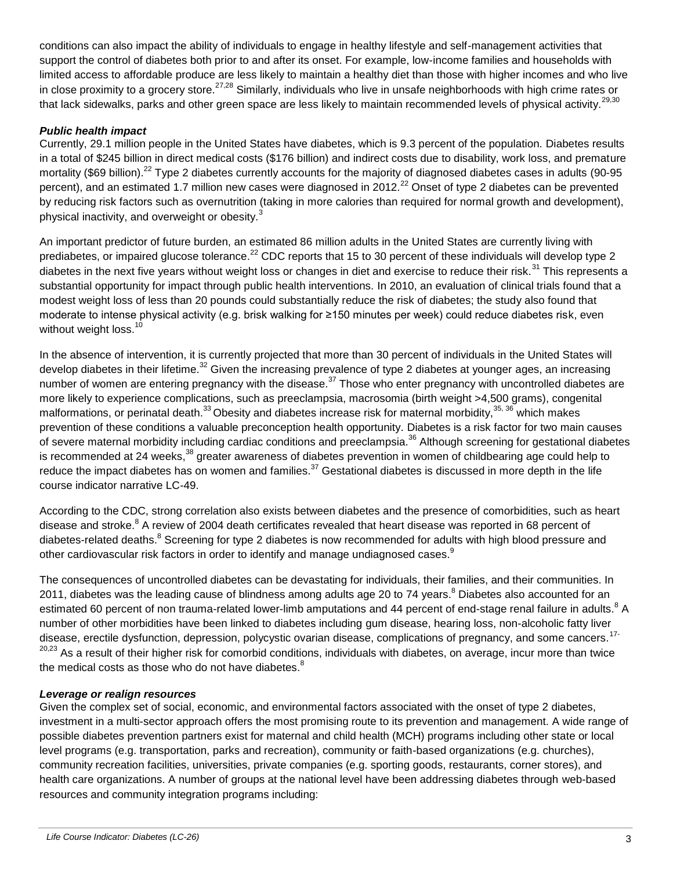conditions can also impact the ability of individuals to engage in healthy lifestyle and self-management activities that support the control of diabetes both prior to and after its onset. For example, low-income families and households with limited access to affordable produce are less likely to maintain a healthy diet than those with higher incomes and who live in close proximity to a grocery store.<sup>27,28</sup> Similarly, individuals who live in unsafe neighborhoods with high crime rates or that lack sidewalks, parks and other green space are less likely to maintain recommended levels of physical activity.<sup>29,30</sup>

#### *Public health impact*

Currently, 29.1 million people in the United States have diabetes, which is 9.3 percent of the population. Diabetes results in a total of \$245 billion in direct medical costs (\$176 billion) and indirect costs due to disability, work loss, and premature mortality (\$69 billion).<sup>22</sup> Type 2 diabetes currently accounts for the majority of diagnosed diabetes cases in adults (90-95 percent), and an estimated 1.7 million new cases were diagnosed in 2012.<sup>22</sup> Onset of type 2 diabetes can be prevented by reducing risk factors such as overnutrition (taking in more calories than required for normal growth and development), physical inactivity, and overweight or obesity.<sup>3</sup>

An important predictor of future burden, an estimated 86 million adults in the United States are currently living with prediabetes, or impaired glucose tolerance.<sup>22</sup> CDC reports that 15 to 30 percent of these individuals will develop type 2 diabetes in the next five years without weight loss or changes in diet and exercise to reduce their risk.<sup>31</sup> This represents a substantial opportunity for impact through public health interventions. In 2010, an evaluation of clinical trials found that a modest weight loss of less than 20 pounds could substantially reduce the risk of diabetes; the study also found that moderate to intense physical activity (e.g. brisk walking for ≥150 minutes per week) could reduce diabetes risk, even without weight loss.<sup>10</sup>

In the absence of intervention, it is currently projected that more than 30 percent of individuals in the United States will develop diabetes in their lifetime.<sup>32</sup> Given the increasing prevalence of type 2 diabetes at younger ages, an increasing number of women are entering pregnancy with the disease.<sup>37</sup> Those who enter pregnancy with uncontrolled diabetes are more likely to experience complications, such as preeclampsia, macrosomia (birth weight >4,500 grams), congenital malformations, or perinatal death.<sup>33</sup> Obesity and diabetes increase risk for maternal morbidity,  $35, 36$  which makes prevention of these conditions a valuable preconception health opportunity. Diabetes is a risk factor for two main causes of severe maternal morbidity including cardiac conditions and preeclampsia.<sup>36</sup> Although screening for gestational diabetes is recommended at 24 weeks,<sup>38</sup> greater awareness of diabetes prevention in women of childbearing age could help to reduce the impact diabetes has on women and families.<sup>37</sup> Gestational diabetes is discussed in more depth in the life course indicator narrative LC-49.

According to the CDC, strong correlation also exists between diabetes and the presence of comorbidities, such as heart disease and stroke.<sup>8</sup> A review of 2004 death certificates revealed that heart disease was reported in 68 percent of diabetes-related deaths.<sup>8</sup> Screening for type 2 diabetes is now recommended for adults with high blood pressure and other cardiovascular risk factors in order to identify and manage undiagnosed cases.<sup>9</sup>

The consequences of uncontrolled diabetes can be devastating for individuals, their families, and their communities. In 2011, diabetes was the leading cause of blindness among adults age 20 to 74 years.<sup>8</sup> Diabetes also accounted for an estimated 60 percent of non trauma-related lower-limb amputations and 44 percent of end-stage renal failure in adults.<sup>8</sup> A number of other morbidities have been linked to diabetes including gum disease, hearing loss, non-alcoholic fatty liver disease, erectile dysfunction, depression, polycystic ovarian disease, complications of pregnancy, and some cancers.<sup>17-</sup> <sup>20,23</sup> As a result of their higher risk for comorbid conditions, individuals with diabetes, on average, incur more than twice the medical costs as those who do not have diabetes.<sup>8</sup>

#### *Leverage or realign resources*

Given the complex set of social, economic, and environmental factors associated with the onset of type 2 diabetes, investment in a multi-sector approach offers the most promising route to its prevention and management. A wide range of possible diabetes prevention partners exist for maternal and child health (MCH) programs including other state or local level programs (e.g. transportation, parks and recreation), community or faith-based organizations (e.g. churches), community recreation facilities, universities, private companies (e.g. sporting goods, restaurants, corner stores), and health care organizations. A number of groups at the national level have been addressing diabetes through web-based resources and community integration programs including: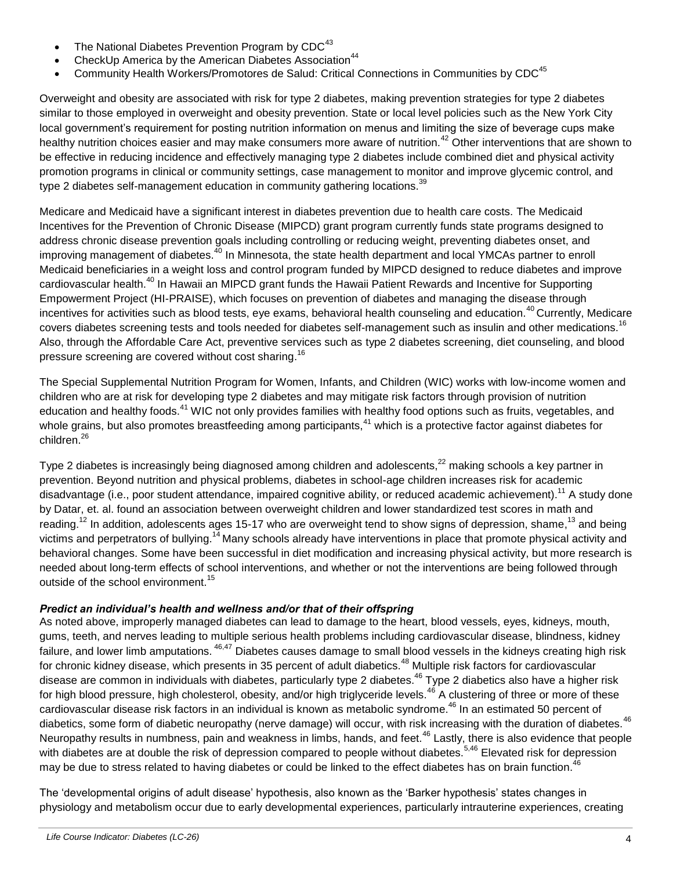- The National Diabetes Prevention Program by  $CDC^{43}$
- CheckUp America by the American Diabetes Association<sup>44</sup>
- Community Health Workers/Promotores de Salud: Critical Connections in Communities by CDC<sup>45</sup>

Overweight and obesity are associated with risk for type 2 diabetes, making prevention strategies for type 2 diabetes similar to those employed in overweight and obesity prevention. State or local level policies such as the New York City local government's requirement for posting nutrition information on menus and limiting the size of beverage cups make healthy nutrition choices easier and may make consumers more aware of nutrition.<sup>42</sup> Other interventions that are shown to be effective in reducing incidence and effectively managing type 2 diabetes include combined diet and physical activity promotion programs in clinical or community settings, case management to monitor and improve glycemic control, and type 2 diabetes self-management education in community gathering locations.<sup>39</sup>

Medicare and Medicaid have a significant interest in diabetes prevention due to health care costs. The Medicaid Incentives for the Prevention of Chronic Disease (MIPCD) grant program currently funds state programs designed to address chronic disease prevention goals including controlling or reducing weight, preventing diabetes onset, and improving management of diabetes.<sup>40</sup> In Minnesota, the state health department and local YMCAs partner to enroll Medicaid beneficiaries in a weight loss and control program funded by MIPCD designed to reduce diabetes and improve cardiovascular health.<sup>40</sup> In Hawaii an MIPCD grant funds the Hawaii Patient Rewards and Incentive for Supporting Empowerment Project (HI-PRAISE), which focuses on prevention of diabetes and managing the disease through incentives for activities such as blood tests, eye exams, behavioral health counseling and education.<sup>40</sup> Currently, Medicare covers diabetes screening tests and tools needed for diabetes self-management such as insulin and other medications.<sup>16</sup> Also, through the Affordable Care Act, preventive services such as type 2 diabetes screening, diet counseling, and blood pressure screening are covered without cost sharing.<sup>16</sup>

The Special Supplemental Nutrition Program for Women, Infants, and Children (WIC) works with low-income women and children who are at risk for developing type 2 diabetes and may mitigate risk factors through provision of nutrition education and healthy foods.<sup>41</sup> WIC not only provides families with healthy food options such as fruits, vegetables, and whole grains, but also promotes breastfeeding among participants,<sup>41</sup> which is a protective factor against diabetes for children.<sup>26</sup>

Type 2 diabetes is increasingly being diagnosed among children and adolescents, $^{22}$  making schools a key partner in prevention. Beyond nutrition and physical problems, diabetes in school-age children increases risk for academic disadvantage (i.e., poor student attendance, impaired cognitive ability, or reduced academic achievement).<sup>11</sup> A study done by Datar, et. al. found an association between overweight children and lower standardized test scores in math and reading.<sup>12</sup> In addition, adolescents ages 15-17 who are overweight tend to show signs of depression, shame,<sup>13</sup> and being victims and perpetrators of bullying.<sup>14</sup> Many schools already have interventions in place that promote physical activity and behavioral changes. Some have been successful in diet modification and increasing physical activity, but more research is needed about long-term effects of school interventions, and whether or not the interventions are being followed through outside of the school environment.<sup>15</sup>

#### *Predict an individual's health and wellness and/or that of their offspring*

As noted above, improperly managed diabetes can lead to damage to the heart, blood vessels, eyes, kidneys, mouth, gums, teeth, and nerves leading to multiple serious health problems including cardiovascular disease, blindness, kidney failure, and lower limb amputations. <sup>46,47</sup> Diabetes causes damage to small blood vessels in the kidneys creating high risk for chronic kidney disease, which presents in 35 percent of adult diabetics.<sup>48</sup> Multiple risk factors for cardiovascular disease are common in individuals with diabetes, particularly type 2 diabetes.<sup>46</sup> Type 2 diabetics also have a higher risk for high blood pressure, high cholesterol, obesity, and/or high triglyceride levels.<sup>46</sup> A clustering of three or more of these cardiovascular disease risk factors in an individual is known as metabolic syndrome.<sup>46</sup> In an estimated 50 percent of diabetics, some form of diabetic neuropathy (nerve damage) will occur, with risk increasing with the duration of diabetes.<sup>46</sup> Neuropathy results in numbness, pain and weakness in limbs, hands, and feet.<sup>46</sup> Lastly, there is also evidence that people with diabetes are at double the risk of depression compared to people without diabetes.<sup>5,46</sup> Elevated risk for depression may be due to stress related to having diabetes or could be linked to the effect diabetes has on brain function.<sup>46</sup>

The 'developmental origins of adult disease' hypothesis, also known as the 'Barker hypothesis' states changes in physiology and metabolism occur due to early developmental experiences, particularly intrauterine experiences, creating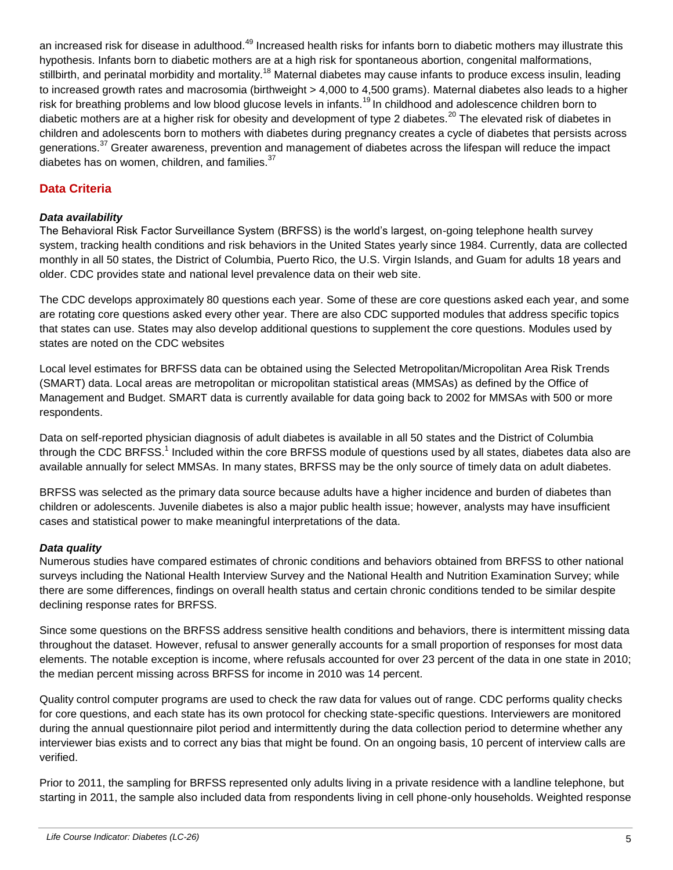an increased risk for disease in adulthood.<sup>49</sup> Increased health risks for infants born to diabetic mothers may illustrate this hypothesis. Infants born to diabetic mothers are at a high risk for spontaneous abortion, congenital malformations, stillbirth, and perinatal morbidity and mortality.<sup>18</sup> Maternal diabetes may cause infants to produce excess insulin, leading to increased growth rates and macrosomia (birthweight > 4,000 to 4,500 grams). Maternal diabetes also leads to a higher risk for breathing problems and low blood glucose levels in infants.<sup>19</sup> In childhood and adolescence children born to diabetic mothers are at a higher risk for obesity and development of type 2 diabetes.<sup>20</sup> The elevated risk of diabetes in children and adolescents born to mothers with diabetes during pregnancy creates a cycle of diabetes that persists across generations.<sup>37</sup> Greater awareness, prevention and management of diabetes across the lifespan will reduce the impact diabetes has on women, children, and families. $37$ 

### **Data Criteria**

#### *Data availability*

The Behavioral Risk Factor Surveillance System (BRFSS) is the world's largest, on-going telephone health survey system, tracking health conditions and risk behaviors in the United States yearly since 1984. Currently, data are collected monthly in all 50 states, the District of Columbia, Puerto Rico, the U.S. Virgin Islands, and Guam for adults 18 years and older. CDC provides state and national level prevalence data on their web site.

The CDC develops approximately 80 questions each year. Some of these are core questions asked each year, and some are rotating core questions asked every other year. There are also CDC supported modules that address specific topics that states can use. States may also develop additional questions to supplement the core questions. Modules used by states are noted on the CDC websites

Local level estimates for BRFSS data can be obtained using the Selected Metropolitan/Micropolitan Area Risk Trends (SMART) data. Local areas are metropolitan or micropolitan statistical areas (MMSAs) as defined by the Office of Management and Budget. SMART data is currently available for data going back to 2002 for MMSAs with 500 or more respondents.

Data on self-reported physician diagnosis of adult diabetes is available in all 50 states and the District of Columbia through the CDC BRFSS.<sup>1</sup> Included within the core BRFSS module of questions used by all states, diabetes data also are available annually for select MMSAs. In many states, BRFSS may be the only source of timely data on adult diabetes.

BRFSS was selected as the primary data source because adults have a higher incidence and burden of diabetes than children or adolescents. Juvenile diabetes is also a major public health issue; however, analysts may have insufficient cases and statistical power to make meaningful interpretations of the data.

#### *Data quality*

Numerous studies have compared estimates of chronic conditions and behaviors obtained from BRFSS to other national surveys including the National Health Interview Survey and the National Health and Nutrition Examination Survey; while there are some differences, findings on overall health status and certain chronic conditions tended to be similar despite declining response rates for BRFSS.

Since some questions on the BRFSS address sensitive health conditions and behaviors, there is intermittent missing data throughout the dataset. However, refusal to answer generally accounts for a small proportion of responses for most data elements. The notable exception is income, where refusals accounted for over 23 percent of the data in one state in 2010; the median percent missing across BRFSS for income in 2010 was 14 percent.

Quality control computer programs are used to check the raw data for values out of range. CDC performs quality checks for core questions, and each state has its own protocol for checking state-specific questions. Interviewers are monitored during the annual questionnaire pilot period and intermittently during the data collection period to determine whether any interviewer bias exists and to correct any bias that might be found. On an ongoing basis, 10 percent of interview calls are verified.

Prior to 2011, the sampling for BRFSS represented only adults living in a private residence with a landline telephone, but starting in 2011, the sample also included data from respondents living in cell phone-only households. Weighted response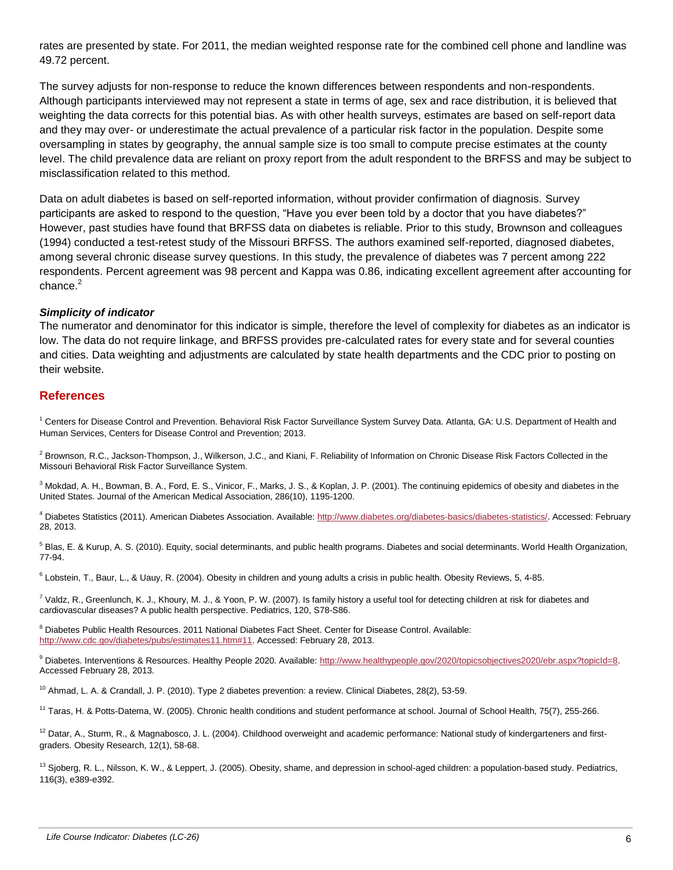rates are presented by state. For 2011, the median weighted response rate for the combined cell phone and landline was 49.72 percent.

The survey adjusts for non-response to reduce the known differences between respondents and non-respondents. Although participants interviewed may not represent a state in terms of age, sex and race distribution, it is believed that weighting the data corrects for this potential bias. As with other health surveys, estimates are based on self-report data and they may over- or underestimate the actual prevalence of a particular risk factor in the population. Despite some oversampling in states by geography, the annual sample size is too small to compute precise estimates at the county level. The child prevalence data are reliant on proxy report from the adult respondent to the BRFSS and may be subject to misclassification related to this method.

Data on adult diabetes is based on self-reported information, without provider confirmation of diagnosis. Survey participants are asked to respond to the question, "Have you ever been told by a doctor that you have diabetes?" However, past studies have found that BRFSS data on diabetes is reliable. Prior to this study, Brownson and colleagues (1994) conducted a test-retest study of the Missouri BRFSS. The authors examined self-reported, diagnosed diabetes, among several chronic disease survey questions. In this study, the prevalence of diabetes was 7 percent among 222 respondents. Percent agreement was 98 percent and Kappa was 0.86, indicating excellent agreement after accounting for chance. 2

#### *Simplicity of indicator*

The numerator and denominator for this indicator is simple, therefore the level of complexity for diabetes as an indicator is low. The data do not require linkage, and BRFSS provides pre-calculated rates for every state and for several counties and cities. Data weighting and adjustments are calculated by state health departments and the CDC prior to posting on their website.

#### **References**

<sup>1</sup> Centers for Disease Control and Prevention. Behavioral Risk Factor Surveillance System Survey Data. Atlanta, GA: U.S. Department of Health and Human Services, Centers for Disease Control and Prevention; 2013.

<sup>2</sup> Brownson, R.C., Jackson-Thompson, J., Wilkerson, J.C., and Kiani, F. Reliability of Information on Chronic Disease Risk Factors Collected in the Missouri Behavioral Risk Factor Surveillance System.

<sup>3</sup> Mokdad, A. H., Bowman, B. A., Ford, E. S., Vinicor, F., Marks, J. S., & Koplan, J. P. (2001). The continuing epidemics of obesity and diabetes in the United States. Journal of the American Medical Association, 286(10), 1195-1200.

<sup>4</sup> Diabetes Statistics (2011). American Diabetes Association. Available[: http://www.diabetes.org/diabetes-basics/diabetes-statistics/.](http://www.diabetes.org/diabetes-basics/diabetes-statistics/) Accessed: February 28, 2013.

<sup>5</sup> Blas, E. & Kurup, A. S. (2010). Equity, social determinants, and public health programs. Diabetes and social determinants. World Health Organization, 77-94.

<sup>6</sup> Lobstein, T., Baur, L., & Uauy, R. (2004). Obesity in children and young adults a crisis in public health. Obesity Reviews, 5, 4-85.

 $^7$  Valdz, R., Greenlunch, K. J., Khoury, M. J., & Yoon, P. W. (2007). Is family history a useful tool for detecting children at risk for diabetes and cardiovascular diseases? A public health perspective. Pediatrics, 120, S78-S86.

<sup>8</sup> Diabetes Public Health Resources. 2011 National Diabetes Fact Sheet. Center for Disease Control. Available: [http://www.cdc.gov/diabetes/pubs/estimates11.htm#11.](http://www.cdc.gov/diabetes/pubs/estimates11.htm#11) Accessed: February 28, 2013.

9 Diabetes. Interventions & Resources. Healthy People 2020. Available: [http://www.healthypeople.gov/2020/topicsobjectives2020/ebr.aspx?topicId=8.](http://www.healthypeople.gov/2020/topicsobjectives2020/ebr.aspx?topicId=8) Accessed February 28, 2013.

 $10$  Ahmad, L. A. & Crandall, J. P. (2010). Type 2 diabetes prevention: a review. Clinical Diabetes, 28(2), 53-59.

<sup>11</sup> Taras, H. & Potts-Datema, W. (2005). Chronic health conditions and student performance at school. Journal of School Health, 75(7), 255-266.

<sup>12</sup> Datar, A., Sturm, R., & Magnabosco, J. L. (2004). Childhood overweight and academic performance: National study of kindergarteners and firstgraders. Obesity Research, 12(1), 58-68.

<sup>13</sup> Sjoberg, R. L., Nilsson, K. W., & Leppert, J. (2005). Obesity, shame, and depression in school-aged children: a population-based study. Pediatrics, 116(3), e389-e392.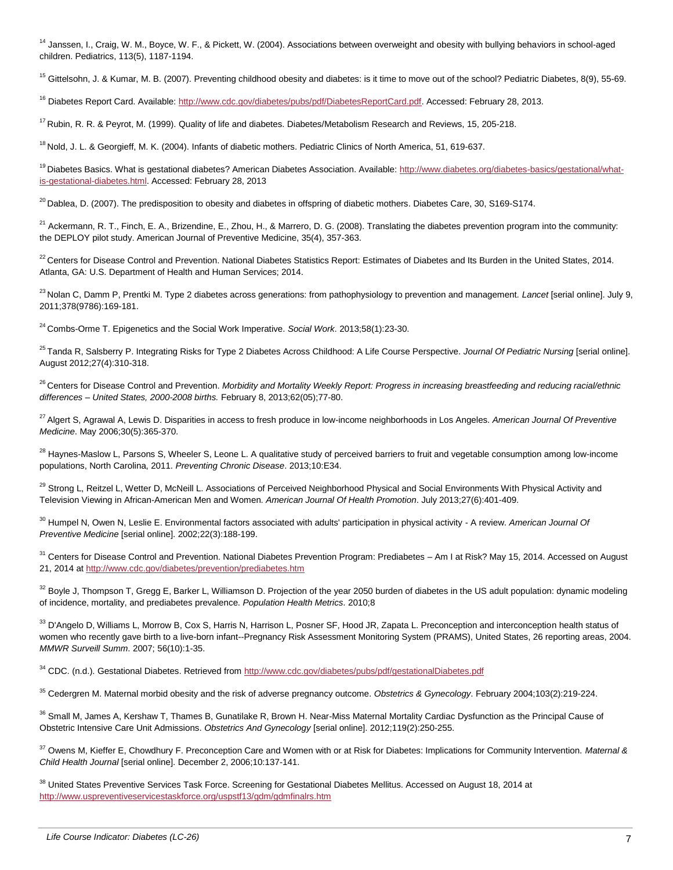<sup>14</sup> Janssen, I., Craig, W. M., Boyce, W. F., & Pickett, W. (2004). Associations between overweight and obesity with bullying behaviors in school-aged children. Pediatrics, 113(5), 1187-1194.

<sup>15</sup> Gittelsohn, J. & Kumar, M. B. (2007). Preventing childhood obesity and diabetes: is it time to move out of the school? Pediatric Diabetes, 8(9), 55-69.

<sup>16</sup> Diabetes Report Card. Available[: http://www.cdc.gov/diabetes/pubs/pdf/DiabetesReportCard.pdf.](http://www.cdc.gov/diabetes/pubs/pdf/DiabetesReportCard.pdf) Accessed: February 28, 2013.

<sup>17</sup> Rubin, R. R. & Peyrot, M. (1999). Quality of life and diabetes. Diabetes/Metabolism Research and Reviews, 15, 205-218.

<sup>18</sup> Nold, J. L. & Georgieff, M. K. (2004). Infants of diabetic mothers. Pediatric Clinics of North America, 51, 619-637.

<sup>19</sup>Diabetes Basics. What is gestational diabetes? American Diabetes Association. Available[: http://www.diabetes.org/diabetes-basics/gestational/what](http://www.diabetes.org/diabetes-basics/gestational/what-is-gestational-diabetes.html)[is-gestational-diabetes.html.](http://www.diabetes.org/diabetes-basics/gestational/what-is-gestational-diabetes.html) Accessed: February 28, 2013

 $^{20}$  Dablea, D. (2007). The predisposition to obesity and diabetes in offspring of diabetic mothers. Diabetes Care, 30, S169-S174.

 $^{21}$  Ackermann, R. T., Finch, E. A., Brizendine, E., Zhou, H., & Marrero, D. G. (2008). Translating the diabetes prevention program into the community: the DEPLOY pilot study. American Journal of Preventive Medicine, 35(4), 357-363.

<sup>22</sup> Centers for Disease Control and Prevention. National Diabetes Statistics Report: Estimates of Diabetes and Its Burden in the United States, 2014. Atlanta, GA: U.S. Department of Health and Human Services; 2014.

<sup>23</sup>Nolan C, Damm P, Prentki M. Type 2 diabetes across generations: from pathophysiology to prevention and management. *Lancet* [serial online]. July 9, 2011;378(9786):169-181.

<sup>24</sup> Combs-Orme T. Epigenetics and the Social Work Imperative. *Social Work*. 2013;58(1):23-30.

<sup>25</sup>Tanda R, Salsberry P. Integrating Risks for Type 2 Diabetes Across Childhood: A Life Course Perspective. *Journal Of Pediatric Nursing* [serial online]. August 2012;27(4):310-318.

<sup>26</sup> Centers for Disease Control and Prevention. Morbidity and Mortality Weekly Report: Progress in increasing breastfeeding and reducing racial/ethnic *differences – United States, 2000-2008 births.* February 8, 2013;62(05);77-80.

<sup>27</sup>Algert S, Agrawal A, Lewis D. Disparities in access to fresh produce in low-income neighborhoods in Los Angeles. *American Journal Of Preventive Medicine*. May 2006;30(5):365-370.

<sup>28</sup> Haynes-Maslow L, Parsons S, Wheeler S, Leone L. A qualitative study of perceived barriers to fruit and vegetable consumption among low-income populations, North Carolina, 2011. *Preventing Chronic Disease*. 2013;10:E34.

<sup>29</sup> Strong L, Reitzel L, Wetter D, McNeill L. Associations of Perceived Neighborhood Physical and Social Environments With Physical Activity and Television Viewing in African-American Men and Women. *American Journal Of Health Promotion*. July 2013;27(6):401-409.

<sup>30</sup> Humpel N, Owen N, Leslie E. Environmental factors associated with adults' participation in physical activity - A review. *American Journal Of Preventive Medicine* [serial online]. 2002;22(3):188-199.

<sup>31</sup> Centers for Disease Control and Prevention. National Diabetes Prevention Program: Prediabetes – Am I at Risk? May 15, 2014. Accessed on August 21, 2014 a[t http://www.cdc.gov/diabetes/prevention/prediabetes.htm](http://www.cdc.gov/diabetes/prevention/prediabetes.htm)

 $32$  Boyle J, Thompson T, Gregg E, Barker L, Williamson D. Projection of the year 2050 burden of diabetes in the US adult population: dynamic modeling of incidence, mortality, and prediabetes prevalence. *Population Health Metrics*. 2010;8

33 D'Angelo D, Williams L, Morrow B, Cox S, Harris N, Harrison L, Posner SF, Hood JR, Zapata L. Preconception and interconception health status of women who recently gave birth to a live-born infant--Pregnancy Risk Assessment Monitoring System (PRAMS), United States, 26 reporting areas, 2004. *MMWR Surveill Summ*. 2007; 56(10):1-35.

<sup>34</sup> CDC. (n.d.). Gestational Diabetes. Retrieved from<http://www.cdc.gov/diabetes/pubs/pdf/gestationalDiabetes.pdf>

<sup>35</sup> Cedergren M. Maternal morbid obesity and the risk of adverse pregnancy outcome. *Obstetrics & Gynecology*. February 2004;103(2):219-224.

<sup>36</sup> Small M, James A, Kershaw T, Thames B, Gunatilake R, Brown H. Near-Miss Maternal Mortality Cardiac Dysfunction as the Principal Cause of Obstetric Intensive Care Unit Admissions. *Obstetrics And Gynecology* [serial online]. 2012;119(2):250-255.

<sup>37</sup> Owens M, Kieffer E, Chowdhury F. Preconception Care and Women with or at Risk for Diabetes: Implications for Community Intervention. *Maternal & Child Health Journal* [serial online]. December 2, 2006;10:137-141.

<sup>38</sup> United States Preventive Services Task Force. Screening for Gestational Diabetes Mellitus. Accessed on August 18, 2014 at <http://www.uspreventiveservicestaskforce.org/uspstf13/gdm/gdmfinalrs.htm>